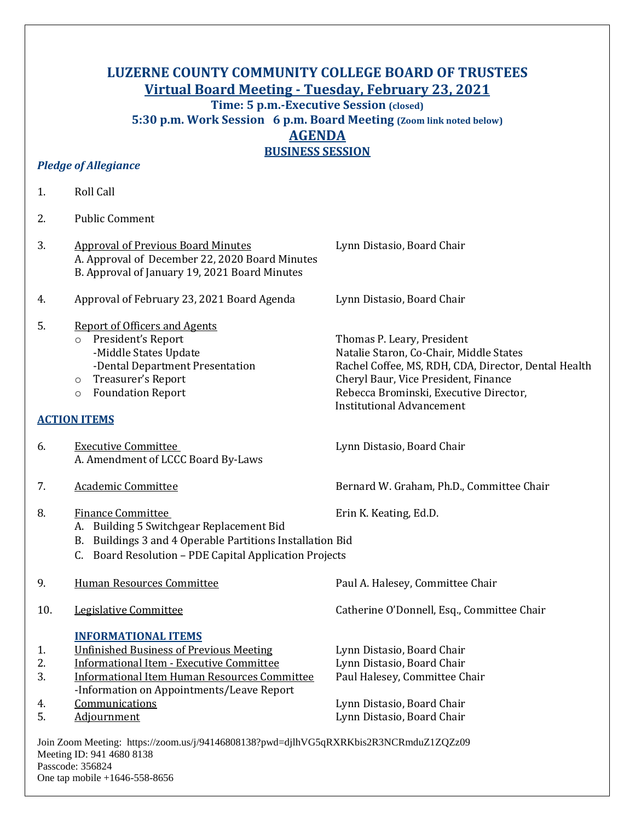## **LUZERNE COUNTY COMMUNITY COLLEGE BOARD OF TRUSTEES Virtual Board Meeting - Tuesday, February 23, 2021**

**Time: 5 p.m.-Executive Session (closed) 5:30 p.m. Work Session 6 p.m. Board Meeting (Zoom link noted below) AGENDA BUSINESS SESSION**

## *Pledge of Allegiance*

| 1.                   | Roll Call                                                                                                                                                                                                                                             |                                                                                                                                                                                                                                                     |
|----------------------|-------------------------------------------------------------------------------------------------------------------------------------------------------------------------------------------------------------------------------------------------------|-----------------------------------------------------------------------------------------------------------------------------------------------------------------------------------------------------------------------------------------------------|
| 2.                   | <b>Public Comment</b>                                                                                                                                                                                                                                 |                                                                                                                                                                                                                                                     |
| 3.                   | <b>Approval of Previous Board Minutes</b><br>A. Approval of December 22, 2020 Board Minutes<br>B. Approval of January 19, 2021 Board Minutes                                                                                                          | Lynn Distasio, Board Chair                                                                                                                                                                                                                          |
| 4.                   | Approval of February 23, 2021 Board Agenda                                                                                                                                                                                                            | Lynn Distasio, Board Chair                                                                                                                                                                                                                          |
| 5.                   | <b>Report of Officers and Agents</b><br>President's Report<br>$\circ$<br>-Middle States Update<br>-Dental Department Presentation<br>Treasurer's Report<br>$\circ$<br><b>Foundation Report</b><br>$\circ$                                             | Thomas P. Leary, President<br>Natalie Staron, Co-Chair, Middle States<br>Rachel Coffee, MS, RDH, CDA, Director, Dental Health<br>Cheryl Baur, Vice President, Finance<br>Rebecca Brominski, Executive Director,<br><b>Institutional Advancement</b> |
|                      | <b>ACTION ITEMS</b>                                                                                                                                                                                                                                   |                                                                                                                                                                                                                                                     |
| 6.                   | <b>Executive Committee</b><br>A. Amendment of LCCC Board By-Laws                                                                                                                                                                                      | Lynn Distasio, Board Chair                                                                                                                                                                                                                          |
| 7.                   | <b>Academic Committee</b>                                                                                                                                                                                                                             | Bernard W. Graham, Ph.D., Committee Chair                                                                                                                                                                                                           |
| 8.                   | <b>Finance Committee</b><br>A. Building 5 Switchgear Replacement Bid<br>B. Buildings 3 and 4 Operable Partitions Installation Bid<br>C. Board Resolution - PDE Capital Application Projects                                                           | Erin K. Keating, Ed.D.                                                                                                                                                                                                                              |
| 9.                   | <b>Human Resources Committee</b>                                                                                                                                                                                                                      | Paul A. Halesey, Committee Chair                                                                                                                                                                                                                    |
| 10.                  | Legislative Committee                                                                                                                                                                                                                                 | Catherine O'Donnell, Esq., Committee Chair                                                                                                                                                                                                          |
| 1.<br>2.<br>3.<br>4. | <b>INFORMATIONAL ITEMS</b><br><b>Unfinished Business of Previous Meeting</b><br><b>Informational Item - Executive Committee</b><br><b>Informational Item Human Resources Committee</b><br>-Information on Appointments/Leave Report<br>Communications | Lynn Distasio, Board Chair<br>Lynn Distasio, Board Chair<br>Paul Halesey, Committee Chair<br>Lynn Distasio, Board Chair                                                                                                                             |
| 5.                   | Adjournment                                                                                                                                                                                                                                           | Lynn Distasio, Board Chair                                                                                                                                                                                                                          |
|                      | Join Zoom Meeting: https://zoom.us/j/94146808138?pwd=djlhVG5qRXRKbis2R3NCRmduZ1ZQZz09                                                                                                                                                                 |                                                                                                                                                                                                                                                     |

Meeting ID: 941 4680 8138 Passcode: 356824 One tap mobile +1646-558-8656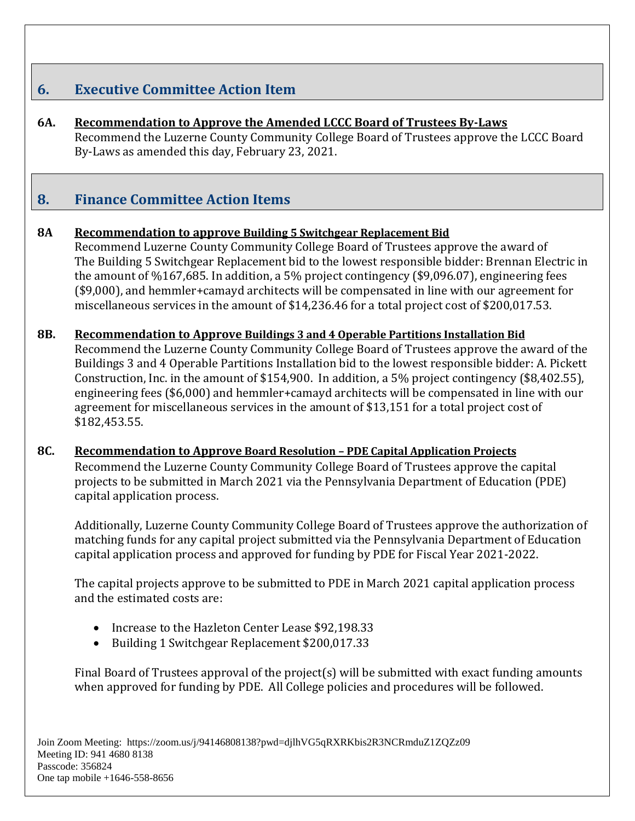# **6. Executive Committee Action Item**

**6A. Recommendation to Approve the Amended LCCC Board of Trustees By-Laws** Recommend the Luzerne County Community College Board of Trustees approve the LCCC Board By-Laws as amended this day, February 23, 2021.

## **8. Finance Committee Action Items**

## **8A Recommendation to approve Building 5 Switchgear Replacement Bid**

Recommend Luzerne County Community College Board of Trustees approve the award of The Building 5 Switchgear Replacement bid to the lowest responsible bidder: Brennan Electric in the amount of %167,685. In addition, a 5% project contingency (\$9,096.07), engineering fees (\$9,000), and hemmler+camayd architects will be compensated in line with our agreement for miscellaneous services in the amount of \$14,236.46 for a total project cost of \$200,017.53.

## **8B. Recommendation to Approve Buildings 3 and 4 Operable Partitions Installation Bid**

Recommend the Luzerne County Community College Board of Trustees approve the award of the Buildings 3 and 4 Operable Partitions Installation bid to the lowest responsible bidder: A. Pickett Construction, Inc. in the amount of \$154,900. In addition, a 5% project contingency (\$8,402.55), engineering fees (\$6,000) and hemmler+camayd architects will be compensated in line with our agreement for miscellaneous services in the amount of \$13,151 for a total project cost of \$182,453.55.

## **8C. Recommendation to Approve Board Resolution – PDE Capital Application Projects**

Recommend the Luzerne County Community College Board of Trustees approve the capital projects to be submitted in March 2021 via the Pennsylvania Department of Education (PDE) capital application process.

Additionally, Luzerne County Community College Board of Trustees approve the authorization of matching funds for any capital project submitted via the Pennsylvania Department of Education capital application process and approved for funding by PDE for Fiscal Year 2021-2022.

The capital projects approve to be submitted to PDE in March 2021 capital application process and the estimated costs are:

- Increase to the Hazleton Center Lease \$92,198.33
- Building 1 Switchgear Replacement \$200,017.33

Final Board of Trustees approval of the project(s) will be submitted with exact funding amounts when approved for funding by PDE. All College policies and procedures will be followed.